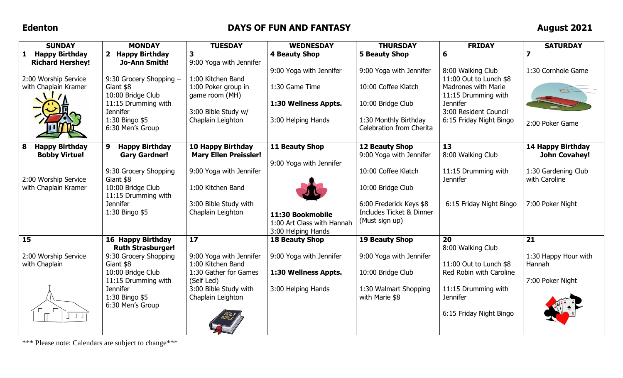## **Edenton DAYS OF FUN AND FANTASY August 2021**

| <b>SUNDAY</b>                         | <b>MONDAY</b>                            | <b>TUESDAY</b>                             | <b>WEDNESDAY</b>           | <b>THURSDAY</b>                         | <b>FRIDAY</b>                                     | <b>SATURDAY</b>         |
|---------------------------------------|------------------------------------------|--------------------------------------------|----------------------------|-----------------------------------------|---------------------------------------------------|-------------------------|
| <b>Happy Birthday</b><br>$\mathbf{1}$ | 2 Happy Birthday                         | $\overline{\mathbf{3}}$                    | <b>4 Beauty Shop</b>       | 5 Beauty Shop                           | 6                                                 | $\overline{\mathbf{z}}$ |
| <b>Richard Hershey!</b>               | Jo-Ann Smith!                            | 9:00 Yoga with Jennifer                    |                            |                                         |                                                   |                         |
|                                       |                                          |                                            | 9:00 Yoga with Jennifer    | 9:00 Yoga with Jennifer                 | 8:00 Walking Club                                 | 1:30 Cornhole Game      |
| 2:00 Worship Service                  | 9:30 Grocery Shopping -                  | 1:00 Kitchen Band                          |                            |                                         | 11:00 Out to Lunch \$8                            |                         |
| with Chaplain Kramer                  | Giant \$8<br>10:00 Bridge Club           | 1:00 Poker group in                        | 1:30 Game Time             | 10:00 Coffee Klatch                     | <b>Madrones with Marie</b><br>11:15 Drumming with |                         |
|                                       | 11:15 Drumming with                      | game room (MH)                             | 1:30 Wellness Appts.       | 10:00 Bridge Club                       | <b>Jennifer</b>                                   |                         |
|                                       | <b>Jennifer</b>                          | 3:00 Bible Study w/                        |                            |                                         | 3:00 Resident Council                             |                         |
|                                       | 1:30 Bingo \$5                           | Chaplain Leighton                          | 3:00 Helping Hands         | 1:30 Monthly Birthday                   | 6:15 Friday Night Bingo                           |                         |
|                                       | 6:30 Men's Group                         |                                            |                            | Celebration from Cherita                |                                                   | 2:00 Poker Game         |
|                                       |                                          |                                            |                            |                                         |                                                   |                         |
| 8<br><b>Happy Birthday</b>            | 9<br><b>Happy Birthday</b>               | <b>10 Happy Birthday</b>                   | 11 Beauty Shop             | 12 Beauty Shop                          | 13                                                | 14 Happy Birthday       |
| <b>Bobby Virtue!</b>                  | <b>Gary Gardner!</b>                     | <b>Mary Ellen Preissler!</b>               |                            | 9:00 Yoga with Jennifer                 | 8:00 Walking Club                                 | <b>John Covahey!</b>    |
|                                       |                                          |                                            | 9:00 Yoga with Jennifer    |                                         |                                                   |                         |
|                                       | 9:30 Grocery Shopping                    | 9:00 Yoga with Jennifer                    |                            | 10:00 Coffee Klatch                     | 11:15 Drumming with                               | 1:30 Gardening Club     |
| 2:00 Worship Service                  | Giant \$8                                |                                            |                            |                                         | <b>Jennifer</b>                                   | with Caroline           |
| with Chaplain Kramer                  | 10:00 Bridge Club<br>11:15 Drumming with | 1:00 Kitchen Band                          |                            | 10:00 Bridge Club                       |                                                   |                         |
|                                       | <b>Jennifer</b>                          | 3:00 Bible Study with                      |                            | 6:00 Frederick Keys \$8                 | 6:15 Friday Night Bingo                           | 7:00 Poker Night        |
|                                       | 1:30 Bingo \$5                           | Chaplain Leighton                          | 11:30 Bookmobile           | <b>Includes Ticket &amp; Dinner</b>     |                                                   |                         |
|                                       |                                          |                                            | 1:00 Art Class with Hannah | (Must sign up)                          |                                                   |                         |
|                                       |                                          |                                            | 3:00 Helping Hands         |                                         |                                                   |                         |
| 15                                    | 16 Happy Birthday                        | 17                                         | <b>18 Beauty Shop</b>      | <b>19 Beauty Shop</b>                   | 20                                                | 21                      |
|                                       | <b>Ruth Strasburger!</b>                 |                                            |                            |                                         | 8:00 Walking Club                                 |                         |
| 2:00 Worship Service                  | 9:30 Grocery Shopping                    | 9:00 Yoga with Jennifer                    | 9:00 Yoga with Jennifer    | 9:00 Yoga with Jennifer                 |                                                   | 1:30 Happy Hour with    |
| with Chaplain                         | Giant \$8                                | 1:00 Kitchen Band                          |                            |                                         | 11:00 Out to Lunch \$8                            | Hannah                  |
|                                       | 10:00 Bridge Club                        | 1:30 Gather for Games                      | 1:30 Wellness Appts.       | 10:00 Bridge Club                       | Red Robin with Caroline                           |                         |
|                                       | 11:15 Drumming with<br><b>Jennifer</b>   | (Self Led)                                 |                            |                                         |                                                   | 7:00 Poker Night        |
|                                       | 1:30 Bingo \$5                           | 3:00 Bible Study with<br>Chaplain Leighton | 3:00 Helping Hands         | 1:30 Walmart Shopping<br>with Marie \$8 | 11:15 Drumming with<br><b>Jennifer</b>            |                         |
|                                       | 6:30 Men's Group                         |                                            |                            |                                         |                                                   |                         |
|                                       |                                          |                                            |                            |                                         | 6:15 Friday Night Bingo                           |                         |
|                                       |                                          |                                            |                            |                                         |                                                   |                         |
|                                       |                                          |                                            |                            |                                         |                                                   |                         |

\*\*\* Please note: Calendars are subject to change\*\*\*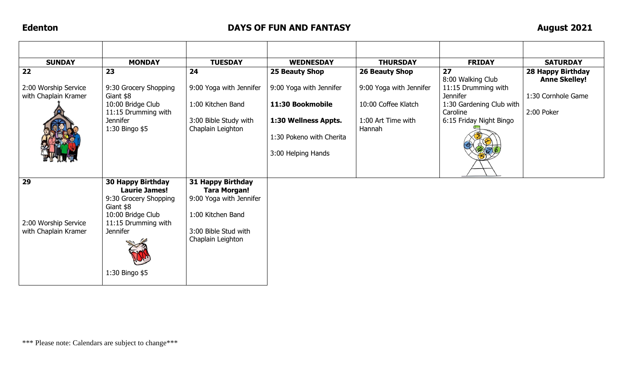## **Edenton DAYS OF FUN AND FANTASY August 2021**

| <b>SUNDAY</b>                                      | <b>MONDAY</b>                                                                                                                                                           | <b>TUESDAY</b>                                                                                                                        | <b>WEDNESDAY</b>                                                                                                      | <b>THURSDAY</b>                                                                | <b>FRIDAY</b>                                                                                                                  | <b>SATURDAY</b>                                          |
|----------------------------------------------------|-------------------------------------------------------------------------------------------------------------------------------------------------------------------------|---------------------------------------------------------------------------------------------------------------------------------------|-----------------------------------------------------------------------------------------------------------------------|--------------------------------------------------------------------------------|--------------------------------------------------------------------------------------------------------------------------------|----------------------------------------------------------|
| 22                                                 | 23                                                                                                                                                                      | 24                                                                                                                                    | 25 Beauty Shop                                                                                                        | 26 Beauty Shop                                                                 | 27                                                                                                                             | 28 Happy Birthday                                        |
| 2:00 Worship Service<br>with Chaplain Kramer       | 9:30 Grocery Shopping<br>Giant \$8<br>10:00 Bridge Club<br>11:15 Drumming with<br><b>Jennifer</b><br>1:30 Bingo \$5                                                     | 9:00 Yoga with Jennifer<br>1:00 Kitchen Band<br>3:00 Bible Study with<br>Chaplain Leighton                                            | 9:00 Yoga with Jennifer<br>11:30 Bookmobile<br>1:30 Wellness Appts.<br>1:30 Pokeno with Cherita<br>3:00 Helping Hands | 9:00 Yoga with Jennifer<br>10:00 Coffee Klatch<br>1:00 Art Time with<br>Hannah | 8:00 Walking Club<br>11:15 Drumming with<br><b>Jennifer</b><br>1:30 Gardening Club with<br>Caroline<br>6:15 Friday Night Bingo | <b>Anne Skelley!</b><br>1:30 Cornhole Game<br>2:00 Poker |
| 29<br>2:00 Worship Service<br>with Chaplain Kramer | <b>30 Happy Birthday</b><br><b>Laurie James!</b><br>9:30 Grocery Shopping<br>Giant \$8<br>10:00 Bridge Club<br>11:15 Drumming with<br><b>Jennifer</b><br>1:30 Bingo \$5 | 31 Happy Birthday<br><b>Tara Morgan!</b><br>9:00 Yoga with Jennifer<br>1:00 Kitchen Band<br>3:00 Bible Stud with<br>Chaplain Leighton |                                                                                                                       |                                                                                |                                                                                                                                |                                                          |

\*\*\* Please note: Calendars are subject to change\*\*\*